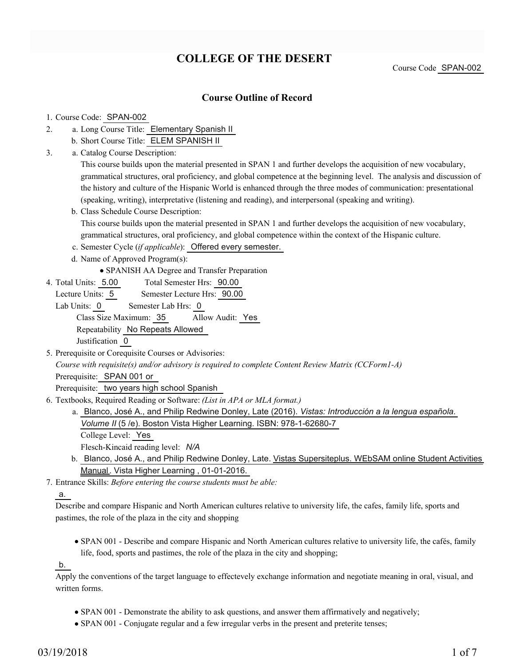# **COLLEGE OF THE DESERT**

Course Code SPAN-002

#### **Course Outline of Record**

#### 1. Course Code: SPAN-002

- a. Long Course Title: Elementary Spanish II 2.
	- b. Short Course Title: ELEM SPANISH II
- Catalog Course Description: a. 3.

This course builds upon the material presented in SPAN 1 and further develops the acquisition of new vocabulary, grammatical structures, oral proficiency, and global competence at the beginning level. The analysis and discussion of the history and culture of the Hispanic World is enhanced through the three modes of communication: presentational (speaking, writing), interpretative (listening and reading), and interpersonal (speaking and writing).

- b. Class Schedule Course Description: This course builds upon the material presented in SPAN 1 and further develops the acquisition of new vocabulary, grammatical structures, oral proficiency, and global competence within the context of the Hispanic culture.
- c. Semester Cycle (*if applicable*): Offered every semester.
- d. Name of Approved Program(s):

SPANISH AA Degree and Transfer Preparation

- Total Semester Hrs: 90.00 4. Total Units: 5.00
	- Lecture Units: 5 Semester Lecture Hrs: 90.00
- Lab Units: 0 Semester Lab Hrs: 0 Class Size Maximum: 35 Allow Audit: Yes Repeatability No Repeats Allowed Justification 0 5. Prerequisite or Corequisite Courses or Advisories:
- *Course with requisite(s) and/or advisory is required to complete Content Review Matrix (CCForm1-A)* Prerequisite: SPAN 001 or

Prerequisite: two years high school Spanish

- Textbooks, Required Reading or Software: *(List in APA or MLA format.)* 6.
	- a. Blanco, José A., and Philip Redwine Donley, Late (2016). *Vistas: Introducción a la lengua española. Volume II* (5 /e). Boston Vista Higher Learning. ISBN: 978-1-62680-7 College Level: Yes

Flesch-Kincaid reading level: *N/A*

- b. Blanco, José A., and Philip Redwine Donley, Late. <u>Vistas Supersiteplus. WEbSAM online Student Activities</u> Manual. Vista Higher Learning , 01-01-2016.
- Entrance Skills: *Before entering the course students must be able:* 7.

#### a.

Describe and compare Hispanic and North American cultures relative to university life, the cafes, family life, sports and pastimes, the role of the plaza in the city and shopping

SPAN 001 - Describe and compare Hispanic and North American cultures relative to university life, the cafés, family life, food, sports and pastimes, the role of the plaza in the city and shopping;

b.

Apply the conventions of the target language to effectevely exchange information and negotiate meaning in oral, visual, and written forms.

- SPAN 001 Demonstrate the ability to ask questions, and answer them affirmatively and negatively;
- SPAN 001 Conjugate regular and a few irregular verbs in the present and preterite tenses;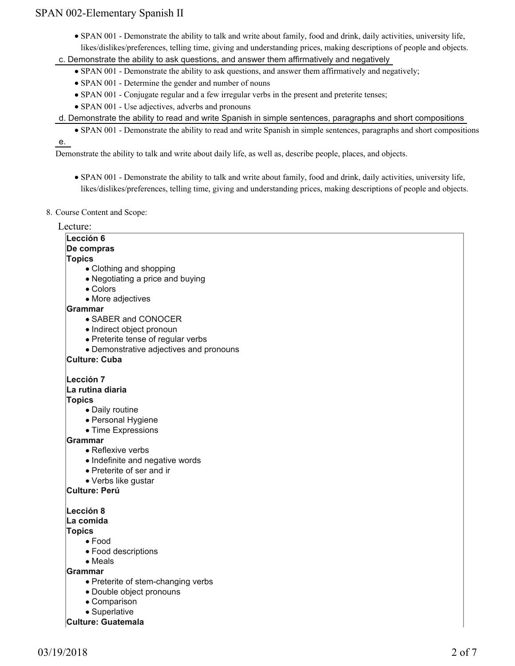SPAN 001 - Demonstrate the ability to talk and write about family, food and drink, daily activities, university life, likes/dislikes/preferences, telling time, giving and understanding prices, making descriptions of people and objects.

c. Demonstrate the ability to ask questions, and answer them affirmatively and negatively

- SPAN 001 Demonstrate the ability to ask questions, and answer them affirmatively and negatively;
- SPAN 001 Determine the gender and number of nouns
- SPAN 001 Conjugate regular and a few irregular verbs in the present and preterite tenses;
- SPAN 001 Use adjectives, adverbs and pronouns
- d. Demonstrate the ability to read and write Spanish in simple sentences, paragraphs and short compositions
	- SPAN 001 Demonstrate the ability to read and write Spanish in simple sentences, paragraphs and short compositions

Demonstrate the ability to talk and write about daily life, as well as, describe people, places, and objects.

- SPAN 001 Demonstrate the ability to talk and write about family, food and drink, daily activities, university life, likes/dislikes/preferences, telling time, giving and understanding prices, making descriptions of people and objects.
- 8. Course Content and Scope:

e.

| Lecture:                                |  |
|-----------------------------------------|--|
| Lección 6                               |  |
| De compras                              |  |
| <b>Topics</b>                           |  |
| • Clothing and shopping                 |  |
| • Negotiating a price and buying        |  |
| • Colors                                |  |
| • More adjectives                       |  |
| Grammar                                 |  |
| • SABER and CONOCER                     |  |
| • Indirect object pronoun               |  |
| • Preterite tense of regular verbs      |  |
| • Demonstrative adjectives and pronouns |  |
| <b>Culture: Cuba</b>                    |  |
| Lección 7                               |  |
| La rutina diaria                        |  |
| <b>Topics</b>                           |  |
| · Daily routine                         |  |
| • Personal Hygiene                      |  |
| • Time Expressions                      |  |
| Grammar                                 |  |
| • Reflexive verbs                       |  |
| • Indefinite and negative words         |  |
| • Preterite of ser and ir               |  |
| • Verbs like gustar                     |  |
| Culture: Perú                           |  |
| Lección 8                               |  |
| La comida                               |  |
| <b>Topics</b>                           |  |
| $\bullet$ Food                          |  |
| • Food descriptions                     |  |
| $\bullet$ Meals                         |  |
| Grammar                                 |  |
| • Preterite of stem-changing verbs      |  |
| · Double object pronouns                |  |
| • Comparison                            |  |
| • Superlative                           |  |
| <b>Culture: Guatemala</b>               |  |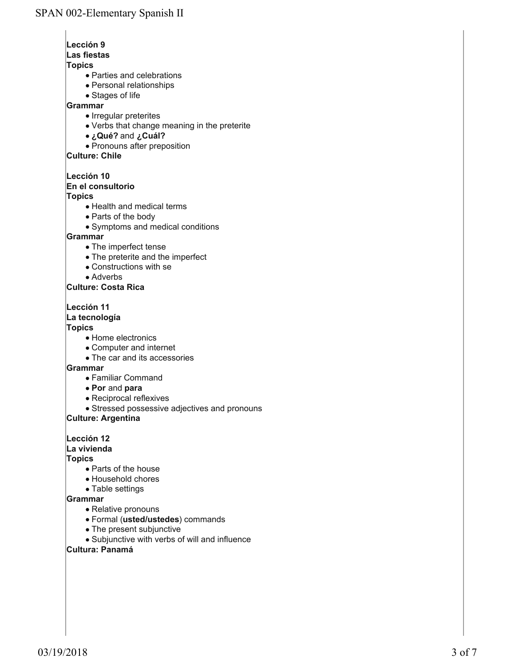#### **Lección 9**

#### **Las fiestas**

#### **Topics**

- Parties and celebrations
- Personal relationships
- Stages of life

#### **Grammar**

- Irregular preterites
- Verbs that change meaning in the preterite
- **¿Qué?** and **¿Cuál?**
- Pronouns after preposition

**Culture: Chile**

### **Lección 10**

#### **En el consultorio**

#### **Topics**

- Health and medical terms
- Parts of the body
- Symptoms and medical conditions

#### **Grammar**

- The imperfect tense
- The preterite and the imperfect
- Constructions with se
- Adverbs

### **Culture: Costa Rica**

# **Lección 11**

**La tecnología**

#### **Topics**

- Home electronics
- Computer and internet
- The car and its accessories

#### **Grammar**

- Familiar Command
- **Por** and **para**
- Reciprocal reflexives
- Stressed possessive adjectives and pronouns

### **Culture: Argentina**

**Lección 12**

### **La vivienda**

### **Topics**

- Parts of the house
- Household chores
- Table settings

### **Grammar**

- Relative pronouns
	- Formal (**usted/ustedes**) commands
- The present subjunctive
- Subjunctive with verbs of will and influence

### **Cultura: Panamá**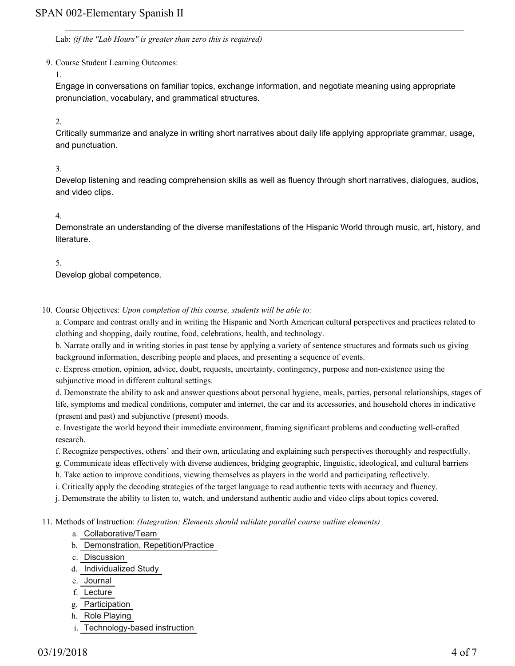Lab: *(if the "Lab Hours" is greater than zero this is required)*

9. Course Student Learning Outcomes:

1.

Engage in conversations on familiar topics, exchange information, and negotiate meaning using appropriate pronunciation, vocabulary, and grammatical structures.

2.

Critically summarize and analyze in writing short narratives about daily life applying appropriate grammar, usage, and punctuation.

3.

Develop listening and reading comprehension skills as well as fluency through short narratives, dialogues, audios, and video clips.

4.

Demonstrate an understanding of the diverse manifestations of the Hispanic World through music, art, history, and literature.

5.

Develop global competence.

10. Course Objectives: Upon completion of this course, students will be able to:

a. Compare and contrast orally and in writing the Hispanic and North American cultural perspectives and practices related to clothing and shopping, daily routine, food, celebrations, health, and technology.

b. Narrate orally and in writing stories in past tense by applying a variety of sentence structures and formats such us giving background information, describing people and places, and presenting a sequence of events.

c. Express emotion, opinion, advice, doubt, requests, uncertainty, contingency, purpose and non-existence using the subjunctive mood in different cultural settings.

d. Demonstrate the ability to ask and answer questions about personal hygiene, meals, parties, personal relationships, stages of life, symptoms and medical conditions, computer and internet, the car and its accessories, and household chores in indicative (present and past) and subjunctive (present) moods.

e. Investigate the world beyond their immediate environment, framing significant problems and conducting well-crafted research.

f. Recognize perspectives, others' and their own, articulating and explaining such perspectives thoroughly and respectfully.

g. Communicate ideas effectively with diverse audiences, bridging geographic, linguistic, ideological, and cultural barriers

h. Take action to improve conditions, viewing themselves as players in the world and participating reflectively.

i. Critically apply the decoding strategies of the target language to read authentic texts with accuracy and fluency.

j. Demonstrate the ability to listen to, watch, and understand authentic audio and video clips about topics covered.

Methods of Instruction: *(Integration: Elements should validate parallel course outline elements)* 11.

- a. Collaborative/Team
- b. Demonstration, Repetition/Practice
- c. Discussion
- d. Individualized Study
- e. Journal
- f. Lecture
- g. Participation
- h. Role Playing
- i. Technology-based instruction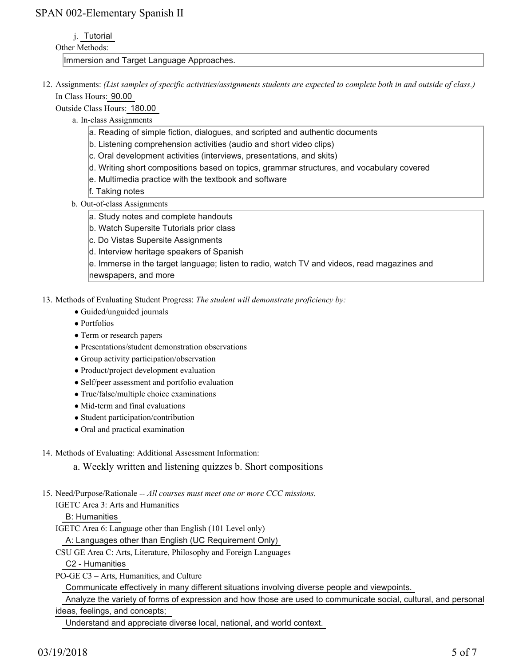j. Tutorial

Other Methods:

Immersion and Target Language Approaches.

12. Assignments: (List samples of specific activities/assignments students are expected to complete both in and outside of class.) In Class Hours: 90.00

Outside Class Hours: 180.00

- a. In-class Assignments
	- a. Reading of simple fiction, dialogues, and scripted and authentic documents
	- b. Listening comprehension activities (audio and short video clips)
	- c. Oral development activities (interviews, presentations, and skits)
	- d. Writing short compositions based on topics, grammar structures, and vocabulary covered
	- e. Multimedia practice with the textbook and software
	- f. Taking notes
- b. Out-of-class Assignments
	- a. Study notes and complete handouts
	- b. Watch Supersite Tutorials prior class
	- c. Do Vistas Supersite Assignments
	- d. Interview heritage speakers of Spanish

e. Immerse in the target language; listen to radio, watch TV and videos, read magazines and newspapers, and more

13. Methods of Evaluating Student Progress: The student will demonstrate proficiency by:

- Guided/unguided journals
- Portfolios
- Term or research papers
- Presentations/student demonstration observations
- Group activity participation/observation
- Product/project development evaluation
- Self/peer assessment and portfolio evaluation
- True/false/multiple choice examinations
- Mid-term and final evaluations
- Student participation/contribution
- Oral and practical examination
- 14. Methods of Evaluating: Additional Assessment Information:

a. Weekly written and listening quizzes b. Short compositions

15. Need/Purpose/Rationale -- All courses must meet one or more CCC missions.

IGETC Area 3: Arts and Humanities

B: Humanities

IGETC Area 6: Language other than English (101 Level only) A: Languages other than English (UC Requirement Only)

CSU GE Area C: Arts, Literature, Philosophy and Foreign Languages

C2 - Humanities

PO-GE C3 – Arts, Humanities, and Culture

Communicate effectively in many different situations involving diverse people and viewpoints.

 Analyze the variety of forms of expression and how those are used to communicate social, cultural, and personal ideas, feelings, and concepts;

Understand and appreciate diverse local, national, and world context.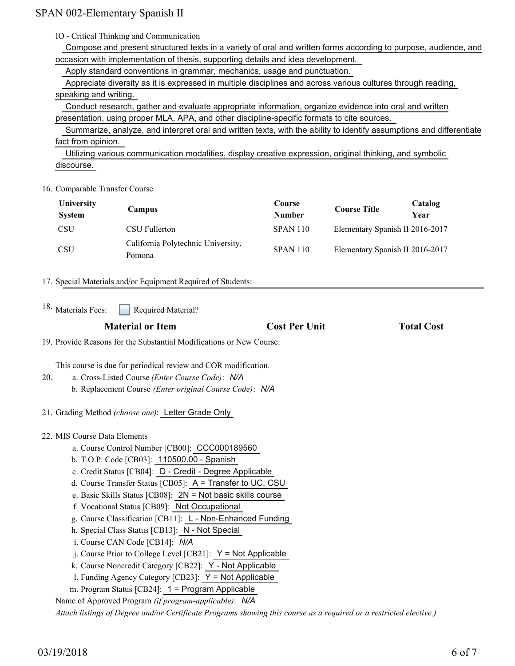IO - Critical Thinking and Communication

 Compose and present structured texts in a variety of oral and written forms according to purpose, audience, and occasion with implementation of thesis, supporting details and idea development.

Apply standard conventions in grammar, mechanics, usage and punctuation.

 Appreciate diversity as it is expressed in multiple disciplines and across various cultures through reading, speaking and writing.

 Conduct research, gather and evaluate appropriate information, organize evidence into oral and written presentation, using proper MLA, APA, and other discipline-specific formats to cite sources.

 Summarize, analyze, and interpret oral and written texts, with the ability to identify assumptions and differentiate fact from opinion.

 Utilizing various communication modalities, display creative expression, original thinking, and symbolic discourse.

16. Comparable Transfer Course

| University    | Campus                                       | Course          | <b>Course Title</b>             | Catalog |
|---------------|----------------------------------------------|-----------------|---------------------------------|---------|
| <b>System</b> |                                              | <b>Number</b>   |                                 | Year    |
| <b>CSU</b>    | CSU Fullerton                                | <b>SPAN 110</b> | Elementary Spanish II 2016-2017 |         |
| <b>CSU</b>    | California Polytechnic University,<br>Pomona | <b>SPAN 110</b> | Elementary Spanish II 2016-2017 |         |

17. Special Materials and/or Equipment Required of Students:

Required Material? <sup>18.</sup> Materials Fees:

| <b>Cost Per Unit</b>                                                 | <b>Total Cost</b> |
|----------------------------------------------------------------------|-------------------|
| 19. Provide Reasons for the Substantial Modifications or New Course: |                   |
| This course is due for periodical review and COR modification.       |                   |
| a. Cross-Listed Course (Enter Course Code): N/A                      |                   |
| b. Replacement Course (Enter original Course Code): N/A              |                   |
|                                                                      |                   |
|                                                                      |                   |
| a. Course Control Number [CB00]: CCC000189560                        |                   |
|                                                                      |                   |
| c. Credit Status [CB04]: D - Credit - Degree Applicable              |                   |
| d. Course Transfer Status [CB05]: $A =$ Transfer to UC, CSU          |                   |
| e. Basic Skills Status [CB08]: $2N = Not basic skills course$        |                   |
| f. Vocational Status [CB09]: Not Occupational                        |                   |
| g. Course Classification [CB11]: L - Non-Enhanced Funding            |                   |
| h. Special Class Status [CB13]: N - Not Special                      |                   |
|                                                                      |                   |

i. Course CAN Code [CB14]: *N/A*

j. Course Prior to College Level [CB21]: Y = Not Applicable

k. Course Noncredit Category [CB22]: Y - Not Applicable

l. Funding Agency Category [CB23]: Y = Not Applicable

m. Program Status [CB24]: 1 = Program Applicable

Name of Approved Program *(if program-applicable)*: *N/A*

*Attach listings of Degree and/or Certificate Programs showing this course as a required or a restricted elective.)*

19.

20.

22.